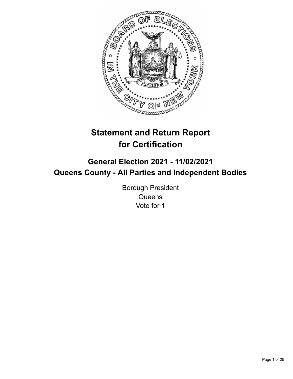

# **Statement and Return Report for Certification**

## **General Election 2021 - 11/02/2021 Queens County - All Parties and Independent Bodies**

Borough President **Queens** Vote for 1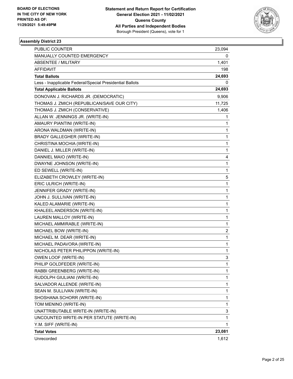

| <b>PUBLIC COUNTER</b>                                    | 23,094                  |
|----------------------------------------------------------|-------------------------|
| MANUALLY COUNTED EMERGENCY                               | 0                       |
| <b>ABSENTEE / MILITARY</b>                               | 1,401                   |
| AFFIDAVIT                                                | 198                     |
| <b>Total Ballots</b>                                     | 24,693                  |
| Less - Inapplicable Federal/Special Presidential Ballots | 0                       |
| <b>Total Applicable Ballots</b>                          | 24,693                  |
| DONOVAN J. RICHARDS JR. (DEMOCRATIC)                     | 9,906                   |
| THOMAS J. ZMICH (REPUBLICAN/SAVE OUR CITY)               | 11,725                  |
| THOMAS J. ZMICH (CONSERVATIVE)                           | 1,406                   |
| ALLAN W. JENNINGS JR. (WRITE-IN)                         | 1                       |
| AMAURY PIANTINI (WRITE-IN)                               | 1                       |
| ARONA WALDMAN (WRITE-IN)                                 | 1                       |
| BRADY GALLEGHER (WRITE-IN)                               | 1                       |
| CHRISTINA MOCHIA (WRITE-IN)                              | 1                       |
| DANIEL J. MILLER (WRITE-IN)                              | 1                       |
| DANNIEL MAIO (WRITE-IN)                                  | 4                       |
| DWAYNE JOHNSON (WRITE-IN)                                | 1                       |
| ED SEWELL (WRITE-IN)                                     | 1                       |
| ELIZABETH CROWLEY (WRITE-IN)                             | 5                       |
| ERIC ULRICH (WRITE-IN)                                   | 1                       |
| JENNIFER GRADY (WRITE-IN)                                | 1                       |
| JOHN J. SULLIVAN (WRITE-IN)                              | 1                       |
| KALED ALAMARIE (WRITE-IN)                                | 1                       |
| KHALEEL ANDERSON (WRITE-IN)                              | 1                       |
| LAUREN MALLOY (WRITE-IN)                                 | 1                       |
| MICHAEL AMMIRABLE (WRITE-IN)                             | 1                       |
| MICHAEL BOW (WRITE-IN)                                   | $\overline{\mathbf{c}}$ |
| MICHAEL M. DEAR (WRITE-IN)                               | 1                       |
| MICHAEL PADAVORA (WRITE-IN)                              | 1                       |
| NICHOLAS PETER PHILIPPON (WRITE-IN)                      | 1                       |
| OWEN LOOF (WRITE-IN)                                     | 3                       |
| PHILIP GOLDFEDER (WRITE-IN)                              | 1                       |
| RABBI GREENBERG (WRITE-IN)                               | 1                       |
| RUDOLPH GIULIANI (WRITE-IN)                              | 1                       |
| SALVADOR ALLENDE (WRITE-IN)                              | 1                       |
| SEAN M. SULLIVAN (WRITE-IN)                              | 1                       |
| SHOSHANA SCHORR (WRITE-IN)                               | 1                       |
| TOM MENINO (WRITE-IN)                                    | 1                       |
| UNATTRIBUTABLE WRITE-IN (WRITE-IN)                       | 3                       |
| UNCOUNTED WRITE-IN PER STATUTE (WRITE-IN)                | 1                       |
| Y.M. SIFF (WRITE-IN)                                     | 1                       |
| <b>Total Votes</b>                                       | 23,081                  |
| Unrecorded                                               | 1,612                   |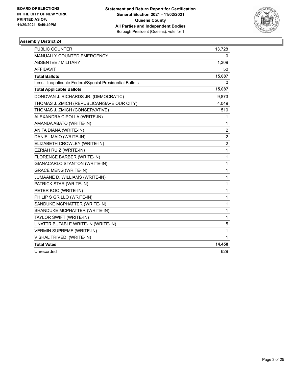

| <b>PUBLIC COUNTER</b>                                    | 13,728                  |
|----------------------------------------------------------|-------------------------|
| MANUALLY COUNTED EMERGENCY                               | 0                       |
| <b>ABSENTEE / MILITARY</b>                               | 1,309                   |
| <b>AFFIDAVIT</b>                                         | 50                      |
| <b>Total Ballots</b>                                     | 15,087                  |
| Less - Inapplicable Federal/Special Presidential Ballots | 0                       |
| <b>Total Applicable Ballots</b>                          | 15,087                  |
| DONOVAN J. RICHARDS JR. (DEMOCRATIC)                     | 9,873                   |
| THOMAS J. ZMICH (REPUBLICAN/SAVE OUR CITY)               | 4,049                   |
| THOMAS J. ZMICH (CONSERVATIVE)                           | 510                     |
| ALEXANDRA CIPOLLA (WRITE-IN)                             | 1                       |
| AMANDA ABATO (WRITE-IN)                                  | 1                       |
| ANITA DIANA (WRITE-IN)                                   | 2                       |
| DANIEL MAIO (WRITE-IN)                                   | $\overline{c}$          |
| ELIZABETH CROWLEY (WRITE-IN)                             | $\overline{\mathbf{c}}$ |
| EZRIAH RUIZ (WRITE-IN)                                   | 1                       |
| FLORENCE BARBER (WRITE-IN)                               | 1                       |
| GIANACARLO STANTON (WRITE-IN)                            | 1                       |
| <b>GRACE MENG (WRITE-IN)</b>                             | 1                       |
| JUMAANE D. WILLIAMS (WRITE-IN)                           | 1                       |
| PATRICK STAR (WRITE-IN)                                  | 1                       |
| PETER KOO (WRITE-IN)                                     | 1                       |
| PHILIP S GRILLO (WRITE-IN)                               | 1                       |
| SANDUKE MCPHATTER (WRITE-IN)                             | 1                       |
| SHANDUKE MCPHATTER (WRITE-IN)                            | 1                       |
| TAYLOR SWIFT (WRITE-IN)                                  | 1                       |
| UNATTRIBUTABLE WRITE-IN (WRITE-IN)                       | 5                       |
| <b>VERMIN SUPREME (WRITE-IN)</b>                         | 1                       |
| VISHAL TRIVEDI (WRITE-IN)                                | 1                       |
| <b>Total Votes</b>                                       | 14,458                  |
| Unrecorded                                               | 629                     |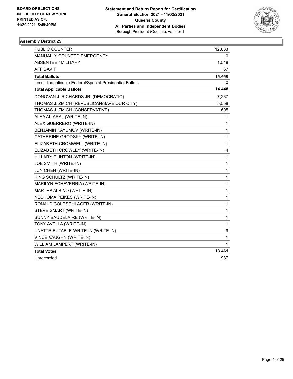

| PUBLIC COUNTER                                           | 12,833 |
|----------------------------------------------------------|--------|
| MANUALLY COUNTED EMERGENCY                               | 0      |
| <b>ABSENTEE / MILITARY</b>                               | 1,548  |
| <b>AFFIDAVIT</b>                                         | 67     |
| <b>Total Ballots</b>                                     | 14,448 |
| Less - Inapplicable Federal/Special Presidential Ballots | 0      |
| <b>Total Applicable Ballots</b>                          | 14,448 |
| DONOVAN J. RICHARDS JR. (DEMOCRATIC)                     | 7,267  |
| THOMAS J. ZMICH (REPUBLICAN/SAVE OUR CITY)               | 5,558  |
| THOMAS J. ZMICH (CONSERVATIVE)                           | 605    |
| ALAA AL-ARAJ (WRITE-IN)                                  | 1      |
| ALEX GUERRERO (WRITE-IN)                                 | 1      |
| BENJAMIN KAYUMUV (WRITE-IN)                              | 1      |
| CATHERINE GRODSKY (WRITE-IN)                             | 1      |
| ELIZABETH CROMWELL (WRITE-IN)                            | 1      |
| ELIZABETH CROWLEY (WRITE-IN)                             | 4      |
| HILLARY CLINTON (WRITE-IN)                               | 1      |
| JOE SMITH (WRITE-IN)                                     | 1      |
| JUN CHEN (WRITE-IN)                                      | 1      |
| KING SCHULTZ (WRITE-IN)                                  | 1      |
| MARILYN ECHEVERRIA (WRITE-IN)                            | 1      |
| MARTHA ALBINO (WRITE-IN)                                 | 1      |
| NECHOMA PEIKES (WRITE-IN)                                | 1      |
| RONALD GOLDSCHLAGER (WRITE-IN)                           | 1      |
| STEVE SMART (WRITE-IN)                                   | 1      |
| SUNNY BAUDELAIRE (WRITE-IN)                              | 1      |
| TONY AVELLA (WRITE-IN)                                   | 1      |
| UNATTRIBUTABLE WRITE-IN (WRITE-IN)                       | 9      |
| VINCE VAUGHN (WRITE-IN)                                  | 1      |
| WILLIAM LAMPERT (WRITE-IN)                               | 1      |
| <b>Total Votes</b>                                       | 13,461 |
| Unrecorded                                               | 987    |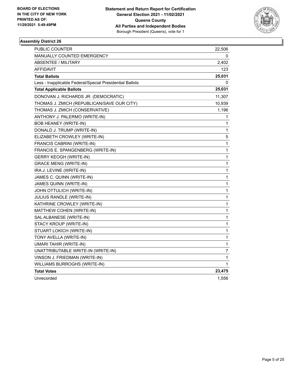

| PUBLIC COUNTER                                           | 22,506       |
|----------------------------------------------------------|--------------|
| <b>MANUALLY COUNTED EMERGENCY</b>                        | 0            |
| ABSENTEE / MILITARY                                      | 2,402        |
| <b>AFFIDAVIT</b>                                         | 123          |
| <b>Total Ballots</b>                                     | 25,031       |
| Less - Inapplicable Federal/Special Presidential Ballots | 0            |
| <b>Total Applicable Ballots</b>                          | 25,031       |
| DONOVAN J. RICHARDS JR. (DEMOCRATIC)                     | 11,307       |
| THOMAS J. ZMICH (REPUBLICAN/SAVE OUR CITY)               | 10,939       |
| THOMAS J. ZMICH (CONSERVATIVE)                           | 1,196        |
| ANTHONY J. PALERMO (WRITE-IN)                            | 1            |
| <b>BOB HEANEY (WRITE-IN)</b>                             | 1            |
| DONALD J. TRUMP (WRITE-IN)                               | 1            |
| ELIZABETH CROWLEY (WRITE-IN)                             | 5            |
| FRANCIS CABRINI (WRITE-IN)                               | $\mathbf{1}$ |
| FRANCIS E. SPANGENBERG (WRITE-IN)                        | 1            |
| <b>GERRY KEOGH (WRITE-IN)</b>                            | 1            |
| <b>GRACE MENG (WRITE-IN)</b>                             | 1            |
| IRA J. LEVINE (WRITE-IN)                                 | 1            |
| JAMES C. QUINN (WRITE-IN)                                | 1            |
| JAMES QUINN (WRITE-IN)                                   | 1            |
| JOHN OTTULICH (WRITE-IN)                                 | $\mathbf{1}$ |
| JULIUS RANDLE (WRITE-IN)                                 | 1            |
| KATHRINE CROWLEY (WRITE-IN)                              | 1            |
| MATTHEW COHEN (WRITE-IN)                                 | 1            |
| SAL ALBANESE (WRITE-IN)                                  | 1            |
| STACY KROUP (WRITE-IN)                                   | 1            |
| STUART LOKICH (WRITE-IN)                                 | 1            |
| TONY AVELLA (WRITE-IN)                                   | 1            |
| <b>UMARI TAHIR (WRITE-IN)</b>                            | 1            |
| UNATTRIBUTABLE WRITE-IN (WRITE-IN)                       | 7            |
| VINSON J. FRIEDMAN (WRITE-IN)                            | 1            |
| WILLIAMS BURROGHS (WRITE-IN)                             | 1            |
| <b>Total Votes</b>                                       | 23,475       |
| Unrecorded                                               | 1,556        |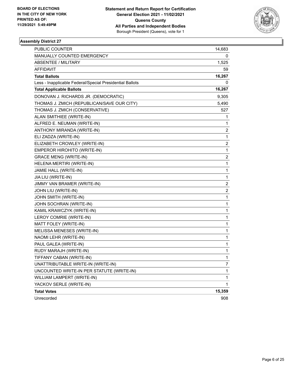

| PUBLIC COUNTER                                           | 14,683                  |
|----------------------------------------------------------|-------------------------|
| MANUALLY COUNTED EMERGENCY                               | 0                       |
| <b>ABSENTEE / MILITARY</b>                               | 1,525                   |
| <b>AFFIDAVIT</b>                                         | 59                      |
| <b>Total Ballots</b>                                     | 16,267                  |
| Less - Inapplicable Federal/Special Presidential Ballots | 0                       |
| <b>Total Applicable Ballots</b>                          | 16,267                  |
| DONOVAN J. RICHARDS JR. (DEMOCRATIC)                     | 9,305                   |
| THOMAS J. ZMICH (REPUBLICAN/SAVE OUR CITY)               | 5,490                   |
| THOMAS J. ZMICH (CONSERVATIVE)                           | 527                     |
| ALAN SMITHIEE (WRITE-IN)                                 | 1                       |
| ALFRED E. NEUMAN (WRITE-IN)                              | 1                       |
| ANTHONY MIRANDA (WRITE-IN)                               | 2                       |
| ELI ZADZA (WRITE-IN)                                     | 1                       |
| ELIZABETH CROWLEY (WRITE-IN)                             | 2                       |
| EMPEROR HIROHITO (WRITE-IN)                              | 1                       |
| <b>GRACE MENG (WRITE-IN)</b>                             | 2                       |
| HELENA MERTIRI (WRITE-IN)                                | 1                       |
| JAMIE HALL (WRITE-IN)                                    | 1                       |
| JIA LIU (WRITE-IN)                                       | 1                       |
| JIMMY VAN BRAMER (WRITE-IN)                              | $\overline{\mathbf{c}}$ |
| JOHN LIU (WRITE-IN)                                      | $\overline{\mathbf{c}}$ |
| JOHN SMITH (WRITE-IN)                                    | 1                       |
| JOHN SOCHRAN (WRITE-IN)                                  | 1                       |
| KAMIL KRAWCZYK (WRITE-IN)                                | 1                       |
| LEROY COMRIE (WRITE-IN)                                  | 1                       |
| MATT FOLEY (WRITE-IN)                                    | 1                       |
| MELISSA MENESES (WRITE-IN)                               | 1                       |
| NAOMI LEHR (WRITE-IN)                                    | 1                       |
| PAUL GALEA (WRITE-IN)                                    | 1                       |
| RUDY MARAJH (WRITE-IN)                                   | 1                       |
| TIFFANY CABAN (WRITE-IN)                                 | 1                       |
| UNATTRIBUTABLE WRITE-IN (WRITE-IN)                       | 7                       |
| UNCOUNTED WRITE-IN PER STATUTE (WRITE-IN)                | 1                       |
| WILLIAM LAMPERT (WRITE-IN)                               | 1                       |
| YACKOV SERLE (WRITE-IN)                                  | 1                       |
| <b>Total Votes</b>                                       | 15,359                  |
| Unrecorded                                               | 908                     |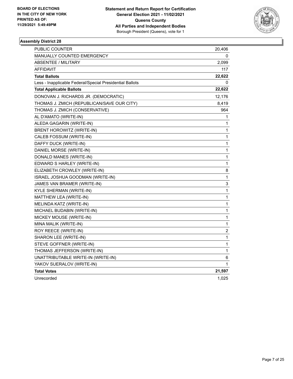

| PUBLIC COUNTER                                           | 20,406      |
|----------------------------------------------------------|-------------|
| <b>MANUALLY COUNTED EMERGENCY</b>                        | 0           |
| ABSENTEE / MILITARY                                      | 2,099       |
| <b>AFFIDAVIT</b>                                         | 117         |
| <b>Total Ballots</b>                                     | 22,622      |
| Less - Inapplicable Federal/Special Presidential Ballots | 0           |
| <b>Total Applicable Ballots</b>                          | 22,622      |
| DONOVAN J. RICHARDS JR. (DEMOCRATIC)                     | 12,176      |
| THOMAS J. ZMICH (REPUBLICAN/SAVE OUR CITY)               | 8,419       |
| THOMAS J. ZMICH (CONSERVATIVE)                           | 964         |
| AL D'AMATO (WRITE-IN)                                    | 1           |
| ALEDA GAGARIN (WRITE-IN)                                 | 1           |
| BRENT HOROWITZ (WRITE-IN)                                | 1           |
| CALEB FOSSUM (WRITE-IN)                                  | 1           |
| DAFFY DUCK (WRITE-IN)                                    | 1           |
| DANIEL MORSE (WRITE-IN)                                  | 1           |
| DONALD MANES (WRITE-IN)                                  | 1           |
| EDWARD S HARLEY (WRITE-IN)                               | 1           |
| ELIZABETH CROWLEY (WRITE-IN)                             | 8           |
| ISRAEL JOSHUA GOODMAN (WRITE-IN)                         | 1           |
| JAMES VAN BRAMER (WRITE-IN)                              | 3           |
| KYLE SHERMAN (WRITE-IN)                                  | 1           |
| MATTHEW LEA (WRITE-IN)                                   | 1           |
| MELINDA KATZ (WRITE-IN)                                  | 1           |
| MICHAEL BUDABIN (WRITE-IN)                               | 1           |
| MICKEY MOUSE (WRITE-IN)                                  | 1           |
| MINA MALIK (WRITE-IN)                                    | 1           |
| ROY REECE (WRITE-IN)                                     | 2           |
| SHARON LEE (WRITE-IN)                                    | $\mathbf 1$ |
| STEVE GOFFNER (WRITE-IN)                                 | 1           |
| THOMAS JEFFERSON (WRITE-IN)                              | 1           |
| UNATTRIBUTABLE WRITE-IN (WRITE-IN)                       | 6           |
| YAKOV SUERALOV (WRITE-IN)                                | 1           |
| <b>Total Votes</b>                                       | 21,597      |
| Unrecorded                                               | 1,025       |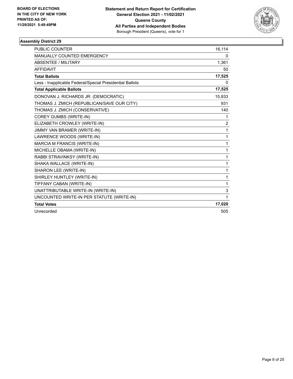

| <b>PUBLIC COUNTER</b>                                    | 16,114         |
|----------------------------------------------------------|----------------|
| <b>MANUALLY COUNTED EMERGENCY</b>                        | 0              |
| ABSENTEE / MILITARY                                      | 1,361          |
| <b>AFFIDAVIT</b>                                         | 50             |
| <b>Total Ballots</b>                                     | 17,525         |
| Less - Inapplicable Federal/Special Presidential Ballots | 0              |
| <b>Total Applicable Ballots</b>                          | 17,525         |
| DONOVAN J. RICHARDS JR. (DEMOCRATIC)                     | 15,933         |
| THOMAS J. ZMICH (REPUBLICAN/SAVE OUR CITY)               | 931            |
| THOMAS J. ZMICH (CONSERVATIVE)                           | 140            |
| <b>COREY GUMBS (WRITE-IN)</b>                            | 1              |
| ELIZABETH CROWLEY (WRITE-IN)                             | $\overline{c}$ |
| JIMMY VAN BRAMER (WRITE-IN)                              | 1              |
| LAWRENCE WOODS (WRITE-IN)                                | 1              |
| MARCIA M FRANCIS (WRITE-IN)                              | 1              |
| MICHELLE OBAMA (WRITE-IN)                                | 1              |
| RABBI STRAVINKSY (WRITE-IN)                              | 1              |
| SHAKA WALLACE (WRITE-IN)                                 | 1              |
| SHARON LEE (WRITE-IN)                                    | 1              |
| SHIRLEY HUNTLEY (WRITE-IN)                               | 1              |
| TIFFANY CABAN (WRITE-IN)                                 | 1              |
| UNATTRIBUTABLE WRITE-IN (WRITE-IN)                       | 3              |
| UNCOUNTED WRITE-IN PER STATUTE (WRITE-IN)                | 1              |
| <b>Total Votes</b>                                       | 17,020         |
| Unrecorded                                               | 505            |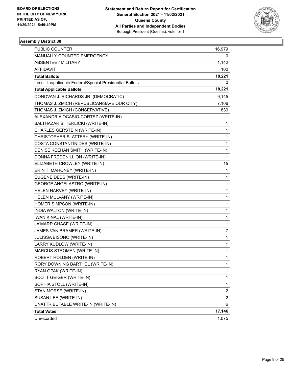

| PUBLIC COUNTER                                           | 16,979                  |
|----------------------------------------------------------|-------------------------|
| MANUALLY COUNTED EMERGENCY                               | 0                       |
| <b>ABSENTEE / MILITARY</b>                               | 1,142                   |
| AFFIDAVIT                                                | 100                     |
| <b>Total Ballots</b>                                     | 18,221                  |
| Less - Inapplicable Federal/Special Presidential Ballots | 0                       |
| <b>Total Applicable Ballots</b>                          | 18,221                  |
| DONOVAN J. RICHARDS JR. (DEMOCRATIC)                     | 9,145                   |
| THOMAS J. ZMICH (REPUBLICAN/SAVE OUR CITY)               | 7,106                   |
| THOMAS J. ZMICH (CONSERVATIVE)                           | 839                     |
| ALEXANDRIA OCASIO-CORTEZ (WRITE-IN)                      | 1                       |
| BALTHAZAR B. TERLICKI (WRITE-IN)                         | 1                       |
| CHARLES GERSTEIN (WRITE-IN)                              | 1                       |
| CHRISTOPHER SLATTERY (WRITE-IN)                          | $\mathbf 1$             |
| COSTA CONSTANTINIDES (WRITE-IN)                          | $\mathbf 1$             |
| DENISE KEEHAN SMITH (WRITE-IN)                           | $\mathbf 1$             |
| DONNA FREDENILLION (WRITE-IN)                            | 1                       |
| ELIZABETH CROWLEY (WRITE-IN)                             | 15                      |
| ERIN T. MAHONEY (WRITE-IN)                               | 1                       |
| EUGENE DEBS (WRITE-IN)                                   | 1                       |
| <b>GEORGE ANGELASTRO (WRITE-IN)</b>                      | 1                       |
| HELEN HARVEY (WRITE-IN)                                  | $\mathbf 1$             |
| HELEN MULVANY (WRITE-IN)                                 | 1                       |
| HOMER SIMPSON (WRITE-IN)                                 | 1                       |
| INDIA WALTON (WRITE-IN)                                  | $\mathbf{1}$            |
| <b>IWAN KINAL (WRITE-IN)</b>                             | $\mathbf{1}$            |
| JA'MARR CHASE (WRITE-IN)                                 | 1                       |
| JAMES VAN BRAMER (WRITE-IN)                              | 7                       |
| JULISSA BISONO (WRITE-IN)                                | 1                       |
| LARRY KUDLOW (WRITE-IN)                                  | 1                       |
| <b>MARCUS STROMAN (WRITE-IN)</b>                         | 1                       |
| ROBERT HOLDEN (WRITE-IN)                                 | $\mathbf{1}$            |
| RORY DOWNING BARTHEL (WRITE-IN)                          | 1                       |
| RYAN OPAK (WRITE-IN)                                     | 1                       |
| SCOTT GEIGER (WRITE-IN)                                  | 1                       |
| SOPHIA STOLL (WRITE-IN)                                  | 1                       |
| STAN MORSE (WRITE-IN)                                    | 2                       |
| SUSAN LEE (WRITE-IN)                                     | $\overline{\mathbf{c}}$ |
| UNATTRIBUTABLE WRITE-IN (WRITE-IN)                       | 6                       |
| <b>Total Votes</b>                                       | 17,146                  |
| Unrecorded                                               | 1,075                   |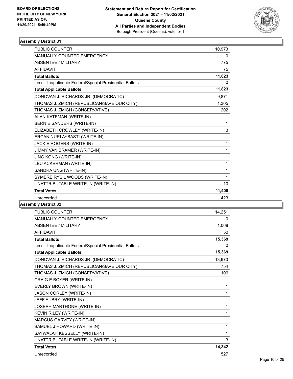

| <b>PUBLIC COUNTER</b>                                    | 10,973 |
|----------------------------------------------------------|--------|
| <b>MANUALLY COUNTED EMERGENCY</b>                        | 0      |
| <b>ABSENTEE / MILITARY</b>                               | 775    |
| <b>AFFIDAVIT</b>                                         | 75     |
| <b>Total Ballots</b>                                     | 11,823 |
| Less - Inapplicable Federal/Special Presidential Ballots | 0      |
| <b>Total Applicable Ballots</b>                          | 11,823 |
| DONOVAN J. RICHARDS JR. (DEMOCRATIC)                     | 9,871  |
| THOMAS J. ZMICH (REPUBLICAN/SAVE OUR CITY)               | 1,305  |
| THOMAS J. ZMICH (CONSERVATIVE)                           | 202    |
| ALAN KATEMAN (WRITE-IN)                                  | 1      |
| BERNIE SANDERS (WRITE-IN)                                | 1      |
| ELIZABETH CROWLEY (WRITE-IN)                             | 3      |
| ERCAN NURI AYBASTI (WRITE-IN)                            | 1      |
| JACKIE ROGERS (WRITE-IN)                                 | 1      |
| JIMMY VAN BRAMER (WRITE-IN)                              | 1      |
| <b>JING KONG (WRITE-IN)</b>                              | 1      |
| LEU ACKERMAN (WRITE-IN)                                  | 1      |
| SANDRA UNG (WRITE-IN)                                    | 1      |
| SYMERE RYSIL WOODS (WRITE-IN)                            | 1      |
| UNATTRIBUTABLE WRITE-IN (WRITE-IN)                       | 10     |
| <b>Total Votes</b>                                       | 11,400 |
| Unrecorded                                               | 423    |
|                                                          |        |

| PUBLIC COUNTER                                           | 14,251   |
|----------------------------------------------------------|----------|
| <b>MANUALLY COUNTED EMERGENCY</b>                        | $\Omega$ |
| <b>ABSENTEE / MILITARY</b>                               | 1,068    |
| AFFIDAVIT                                                | 50       |
| <b>Total Ballots</b>                                     | 15,369   |
| Less - Inapplicable Federal/Special Presidential Ballots | 0        |
| <b>Total Applicable Ballots</b>                          | 15,369   |
| DONOVAN J. RICHARDS JR. (DEMOCRATIC)                     | 13,970   |
| THOMAS J. ZMICH (REPUBLICAN/SAVE OUR CITY)               | 754      |
| THOMAS J. ZMICH (CONSERVATIVE)                           | 106      |
| CRAIG E BOYER (WRITE-IN)                                 | 1        |
| EVERLY BROWN (WRITE-IN)                                  | 1        |
| <b>JASON CORLEY (WRITE-IN)</b>                           | 1        |
| JEFF AUBRY (WRITE-IN)                                    | 1        |
| JOSEPH MARTHONE (WRITE-IN)                               | 1        |
| KEVIN RILEY (WRITE-IN)                                   | 1        |
| MARCUS GARVEY (WRITE-IN)                                 | 1        |
| SAMUEL J HOWARD (WRITE-IN)                               | 1        |
| SAYWALAH KESSELLY (WRITE-IN)                             | 1        |
| UNATTRIBUTABLE WRITE-IN (WRITE-IN)                       | 3        |
| <b>Total Votes</b>                                       | 14,842   |
| Unrecorded                                               | 527      |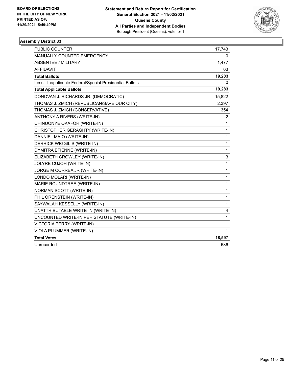

| <b>PUBLIC COUNTER</b>                                    | 17,743 |
|----------------------------------------------------------|--------|
| <b>MANUALLY COUNTED EMERGENCY</b>                        | 0      |
| <b>ABSENTEE / MILITARY</b>                               | 1,477  |
| <b>AFFIDAVIT</b>                                         | 63     |
| <b>Total Ballots</b>                                     | 19,283 |
| Less - Inapplicable Federal/Special Presidential Ballots | 0      |
| <b>Total Applicable Ballots</b>                          | 19,283 |
| DONOVAN J. RICHARDS JR. (DEMOCRATIC)                     | 15,822 |
| THOMAS J. ZMICH (REPUBLICAN/SAVE OUR CITY)               | 2,397  |
| THOMAS J. ZMICH (CONSERVATIVE)                           | 354    |
| ANTHONY A RIVERS (WRITE-IN)                              | 2      |
| CHINUONYE OKAFOR (WRITE-IN)                              | 1      |
| CHRISTOPHER GERAGHTY (WRITE-IN)                          | 1      |
| DANNIEL MAIO (WRITE-IN)                                  | 1      |
| <b>DERRICK WIGGILIS (WRITE-IN)</b>                       | 1      |
| DYMITRA ETIENNE (WRITE-IN)                               | 1      |
| ELIZABETH CROWLEY (WRITE-IN)                             | 3      |
| JOLYRE CUJOH (WRITE-IN)                                  | 1      |
| JORGE M CORREA JR (WRITE-IN)                             | 1      |
| LONDO MOLARI (WRITE-IN)                                  | 1      |
| MARIE ROUNDTREE (WRITE-IN)                               | 1      |
| NORMAN SCOTT (WRITE-IN)                                  | 1      |
| PHIL ORENSTEIN (WRITE-IN)                                | 1      |
| SAYWALAH KESSELLY (WRITE-IN)                             | 1      |
| UNATTRIBUTABLE WRITE-IN (WRITE-IN)                       | 4      |
| UNCOUNTED WRITE-IN PER STATUTE (WRITE-IN)                | 1      |
| <b>VICTORIA PERRY (WRITE-IN)</b>                         | 1      |
| VIOLA PLUMMER (WRITE-IN)                                 | 1      |
| <b>Total Votes</b>                                       | 18,597 |
| Unrecorded                                               | 686    |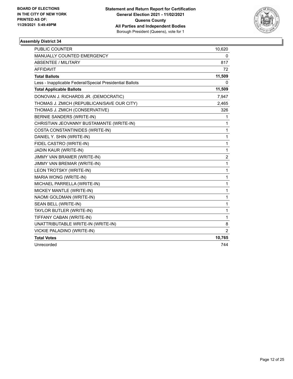

| <b>PUBLIC COUNTER</b>                                    | 10,620         |
|----------------------------------------------------------|----------------|
| MANUALLY COUNTED EMERGENCY                               | 0              |
| ABSENTEE / MILITARY                                      | 817            |
| <b>AFFIDAVIT</b>                                         | 72             |
| <b>Total Ballots</b>                                     | 11,509         |
| Less - Inapplicable Federal/Special Presidential Ballots | 0              |
| <b>Total Applicable Ballots</b>                          | 11,509         |
| DONOVAN J. RICHARDS JR. (DEMOCRATIC)                     | 7,947          |
| THOMAS J. ZMICH (REPUBLICAN/SAVE OUR CITY)               | 2,465          |
| THOMAS J. ZMICH (CONSERVATIVE)                           | 326            |
| <b>BERNIE SANDERS (WRITE-IN)</b>                         | 1              |
| CHRISTIAN JEOVANNY BUSTAMANTE (WRITE-IN)                 | 1              |
| COSTA CONSTANTINIDES (WRITE-IN)                          | 1              |
| DANIEL Y. SHIN (WRITE-IN)                                | 1              |
| FIDEL CASTRO (WRITE-IN)                                  | 1              |
| JADIN KAUR (WRITE-IN)                                    | 1              |
| JIMMY VAN BRAMER (WRITE-IN)                              | $\overline{c}$ |
| JIMMY VAN BREMAR (WRITE-IN)                              | 1              |
| LEON TROTSKY (WRITE-IN)                                  | 1              |
| MARIA WONG (WRITE-IN)                                    | 1              |
| MICHAEL PARRELLA (WRITE-IN)                              | 1              |
| MICKEY MANTLE (WRITE-IN)                                 | 1              |
| NAOMI GOLDMAN (WRITE-IN)                                 | 1              |
| SEAN BELL (WRITE-IN)                                     | 1              |
| TAYLOR BUTLER (WRITE-IN)                                 | 1              |
| TIFFANY CABAN (WRITE-IN)                                 | $\mathbf{1}$   |
| UNATTRIBUTABLE WRITE-IN (WRITE-IN)                       | 8              |
| VICKIE PALADINO (WRITE-IN)                               | $\overline{c}$ |
| <b>Total Votes</b>                                       | 10,765         |
| Unrecorded                                               | 744            |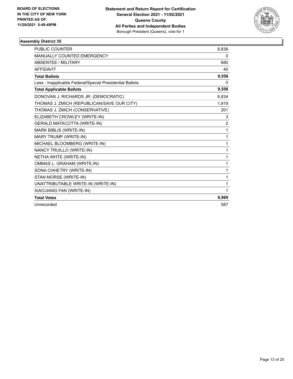

| <b>PUBLIC COUNTER</b>                                    | 8,836          |
|----------------------------------------------------------|----------------|
| <b>MANUALLY COUNTED EMERGENCY</b>                        | 0              |
| <b>ABSENTEE / MILITARY</b>                               | 680            |
| <b>AFFIDAVIT</b>                                         | 40             |
| <b>Total Ballots</b>                                     | 9,556          |
| Less - Inapplicable Federal/Special Presidential Ballots | 0              |
| <b>Total Applicable Ballots</b>                          | 9,556          |
| DONOVAN J. RICHARDS JR. (DEMOCRATIC)                     | 6,834          |
| THOMAS J. ZMICH (REPUBLICAN/SAVE OUR CITY)               | 1,919          |
| THOMAS J. ZMICH (CONSERVATIVE)                           | 201            |
| ELIZABETH CROWLEY (WRITE-IN)                             | 3              |
| GERALD MATACOTTA (WRITE-IN)                              | $\overline{2}$ |
| MARK BIBLIS (WRITE-IN)                                   | 1              |
| MARY TRUMP (WRITE-IN)                                    | 1              |
| MICHAEL BLOOMBERG (WRITE-IN)                             | 1              |
| NANCY TRUILLO (WRITE-IN)                                 | 1              |
| NETHA WHTE (WRITE-IN)                                    | 1              |
| OMMAS L. GRAHAM (WRITE-IN)                               | 1              |
| SONA CHHETRY (WRITE-IN)                                  | 1              |
| STAN MORSE (WRITE-IN)                                    | 1              |
| UNATTRIBUTABLE WRITE-IN (WRITE-IN)                       | 1              |
| XIAOJIANG FAN (WRITE-IN)                                 | 1              |
| <b>Total Votes</b>                                       | 8,969          |
| Unrecorded                                               | 587            |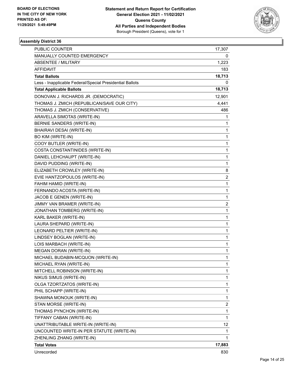

| PUBLIC COUNTER                                           | 17,307                  |
|----------------------------------------------------------|-------------------------|
| MANUALLY COUNTED EMERGENCY                               | 0                       |
| <b>ABSENTEE / MILITARY</b>                               | 1,223                   |
| AFFIDAVIT                                                | 183                     |
| <b>Total Ballots</b>                                     | 18,713                  |
| Less - Inapplicable Federal/Special Presidential Ballots | 0                       |
| <b>Total Applicable Ballots</b>                          | 18,713                  |
| DONOVAN J. RICHARDS JR. (DEMOCRATIC)                     | 12,901                  |
| THOMAS J. ZMICH (REPUBLICAN/SAVE OUR CITY)               | 4,441                   |
| THOMAS J. ZMICH (CONSERVATIVE)                           | 486                     |
| ARAVELLA SIMOTAS (WRITE-IN)                              | 1                       |
| BERNIE SANDERS (WRITE-IN)                                | 1                       |
| BHAIRAVI DESAI (WRITE-IN)                                | 1                       |
| BO KIM (WRITE-IN)                                        | 1                       |
| COOY BUTLER (WRITE-IN)                                   | 1                       |
| COSTA CONSTANTINIDES (WRITE-IN)                          | 1                       |
| DANIEL LEHCHAUPT (WRITE-IN)                              | 1                       |
| DAVID PUDDING (WRITE-IN)                                 | 1                       |
| ELIZABETH CROWLEY (WRITE-IN)                             | 8                       |
| EVIE HANTZOPOULOS (WRITE-IN)                             | 2                       |
| FAHIM HAMID (WRITE-IN)                                   | 1                       |
| FERNANDO ACOSTA (WRITE-IN)                               | 1                       |
| JACOB E GENEN (WRITE-IN)                                 | 1                       |
| JIMMY VAN BRAMER (WRITE-IN)                              | $\overline{\mathbf{c}}$ |
| JONATHAN TOMBERG (WRITE-IN)                              | 1                       |
| KARL BAKER (WRITE-IN)                                    | 1                       |
| LAURA SHEPARD (WRITE-IN)                                 | 1                       |
| LEONARD PELTIER (WRITE-IN)                               | 1                       |
| LINDSEY BOGLAN (WRITE-IN)                                | 1                       |
| LOIS MARBACH (WRITE-IN)                                  | 1                       |
| MEGAN DORAN (WRITE-IN)                                   | 1                       |
| MICHAEL BUDABIN-MCQUON (WRITE-IN)                        | 1                       |
| MICHAEL RYAN (WRITE-IN)                                  | 1                       |
| MITCHELL ROBINSON (WRITE-IN)                             | 1                       |
| NIKUS SIMUS (WRITE-IN)                                   | 1                       |
| OLGA TZORTZATOS (WRITE-IN)                               | 1                       |
| PHIL SCHAPP (WRITE-IN)                                   | 1                       |
| SHAWNA MONOUK (WRITE-IN)                                 | 1                       |
| STAN MORSE (WRITE-IN)                                    | 2                       |
| THOMAS PYNCHON (WRITE-IN)                                | 1                       |
| TIFFANY CABAN (WRITE-IN)                                 | 1                       |
| UNATTRIBUTABLE WRITE-IN (WRITE-IN)                       | 12                      |
| UNCOUNTED WRITE-IN PER STATUTE (WRITE-IN)                | 1                       |
| ZHENLING ZHANG (WRITE-IN)                                | 1                       |
| <b>Total Votes</b>                                       | 17,883                  |
| Unrecorded                                               | 830                     |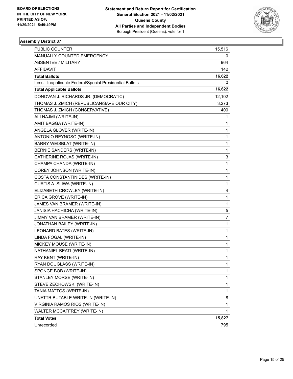

| PUBLIC COUNTER                                           | 15,516 |
|----------------------------------------------------------|--------|
| MANUALLY COUNTED EMERGENCY                               | 0      |
| <b>ABSENTEE / MILITARY</b>                               | 964    |
| <b>AFFIDAVIT</b>                                         | 142    |
| <b>Total Ballots</b>                                     | 16,622 |
| Less - Inapplicable Federal/Special Presidential Ballots | 0      |
| <b>Total Applicable Ballots</b>                          | 16,622 |
| DONOVAN J. RICHARDS JR. (DEMOCRATIC)                     | 12,102 |
| THOMAS J. ZMICH (REPUBLICAN/SAVE OUR CITY)               | 3,273  |
| THOMAS J. ZMICH (CONSERVATIVE)                           | 400    |
| ALI NAJMI (WRITE-IN)                                     | 1      |
| AMIT BAGGA (WRITE-IN)                                    | 1      |
| ANGELA GLOVER (WRITE-IN)                                 | 1      |
| ANTONIO REYNOSO (WRITE-IN)                               | 1      |
| BARRY WEISBLAT (WRITE-IN)                                | 1      |
| BERNIE SANDERS (WRITE-IN)                                | 1      |
| CATHERINE ROJAS (WRITE-IN)                               | 3      |
| CHAMPA CHANDA (WRITE-IN)                                 | 1      |
| COREY JOHNSON (WRITE-IN)                                 | 1      |
| COSTA CONSTANTINIDES (WRITE-IN)                          | 1      |
| CURTIS A. SLIWA (WRITE-IN)                               | 1      |
| ELIZABETH CROWLEY (WRITE-IN)                             | 4      |
| ERICA GROVE (WRITE-IN)                                   | 1      |
| JAMES VAN BRAMER (WRITE-IN)                              | 1      |
| JANISIA HACHICHA (WRITE-IN)                              | 5      |
| JIMMY VAN BRAMER (WRITE-IN)                              | 7      |
| JONATHAN BAILEY (WRITE-IN)                               | 1      |
| LEONARD BATES (WRITE-IN)                                 | 1      |
| LINDA FOGAL (WRITE-IN)                                   | 1      |
| MICKEY MOUSE (WRITE-IN)                                  | 1      |
| NATHANIEL BEATI (WRITE-IN)                               | 1      |
| RAY KENT (WRITE-IN)                                      | 1      |
| RYAN DOUGLASS (WRITE-IN)                                 | 1      |
| SPONGE BOB (WRITE-IN)                                    | 1      |
| STANLEY MORSE (WRITE-IN)                                 | 1      |
| STEVE ZECHOWSKI (WRITE-IN)                               | 1      |
| TANIA MATTOS (WRITE-IN)                                  | 1      |
| UNATTRIBUTABLE WRITE-IN (WRITE-IN)                       | 8      |
| VIRGINIA RAMOS RIOS (WRITE-IN)                           | 1      |
| WALTER MCCAFFREY (WRITE-IN)                              | 1      |
| <b>Total Votes</b>                                       | 15,827 |
| Unrecorded                                               | 795    |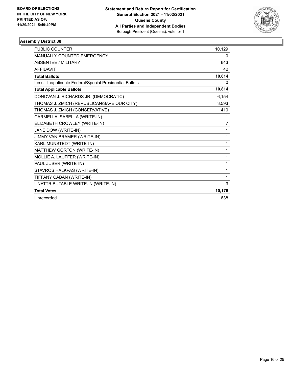

| PUBLIC COUNTER                                           | 10,129 |
|----------------------------------------------------------|--------|
| <b>MANUALLY COUNTED EMERGENCY</b>                        | 0      |
| <b>ABSENTEE / MILITARY</b>                               | 643    |
| <b>AFFIDAVIT</b>                                         | 42     |
| <b>Total Ballots</b>                                     | 10,814 |
| Less - Inapplicable Federal/Special Presidential Ballots | 0      |
| <b>Total Applicable Ballots</b>                          | 10,814 |
| DONOVAN J. RICHARDS JR. (DEMOCRATIC)                     | 6,154  |
| THOMAS J. ZMICH (REPUBLICAN/SAVE OUR CITY)               | 3,593  |
| THOMAS J. ZMICH (CONSERVATIVE)                           | 410    |
| CARMELLA ISABELLA (WRITE-IN)                             | 1      |
| ELIZABETH CROWLEY (WRITE-IN)                             | 7      |
| JANE DOW (WRITE-IN)                                      | 1      |
| JIMMY VAN BRAMER (WRITE-IN)                              | 1      |
| KARL MUNSTEDT (WRITE-IN)                                 | 1      |
| MATTHEW GORTON (WRITE-IN)                                | 1      |
| MOLLIE A. LAUFFER (WRITE-IN)                             | 1      |
| PAUL JUSER (WRITE-IN)                                    | 1      |
| STAVROS HALKPAS (WRITE-IN)                               | 1      |
| TIFFANY CABAN (WRITE-IN)                                 | 1      |
| UNATTRIBUTABLE WRITE-IN (WRITE-IN)                       | 3      |
| <b>Total Votes</b>                                       | 10,176 |
| Unrecorded                                               | 638    |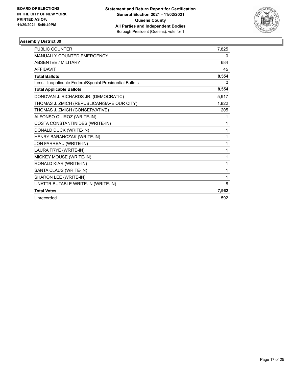

| <b>PUBLIC COUNTER</b>                                    | 7,825 |
|----------------------------------------------------------|-------|
| MANUALLY COUNTED EMERGENCY                               | 0     |
| <b>ABSENTEE / MILITARY</b>                               | 684   |
| <b>AFFIDAVIT</b>                                         | 45    |
| <b>Total Ballots</b>                                     | 8,554 |
| Less - Inapplicable Federal/Special Presidential Ballots | 0     |
| <b>Total Applicable Ballots</b>                          | 8,554 |
| DONOVAN J. RICHARDS JR. (DEMOCRATIC)                     | 5,917 |
| THOMAS J. ZMICH (REPUBLICAN/SAVE OUR CITY)               | 1,822 |
| THOMAS J. ZMICH (CONSERVATIVE)                           | 205   |
| ALFONSO QUIROZ (WRITE-IN)                                | 1     |
| COSTA CONSTANTINIDES (WRITE-IN)                          | 1     |
| DONALD DUCK (WRITE-IN)                                   | 1     |
| HENRY BARANCZAK (WRITE-IN)                               | 1     |
| JON FARREAU (WRITE-IN)                                   | 1     |
| LAURA FRYE (WRITE-IN)                                    | 1     |
| MICKEY MOUSE (WRITE-IN)                                  | 1     |
| RONALD KIAR (WRITE-IN)                                   | 1     |
| SANTA CLAUS (WRITE-IN)                                   | 1     |
| SHARON LEE (WRITE-IN)                                    | 1     |
| UNATTRIBUTABLE WRITE-IN (WRITE-IN)                       | 8     |
| <b>Total Votes</b>                                       | 7,962 |
| Unrecorded                                               | 592   |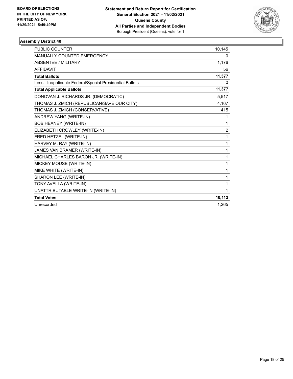

| <b>PUBLIC COUNTER</b>                                    | 10,145         |
|----------------------------------------------------------|----------------|
| <b>MANUALLY COUNTED EMERGENCY</b>                        | 0              |
| <b>ABSENTEE / MILITARY</b>                               | 1,176          |
| <b>AFFIDAVIT</b>                                         | 56             |
| <b>Total Ballots</b>                                     | 11,377         |
| Less - Inapplicable Federal/Special Presidential Ballots | 0              |
| <b>Total Applicable Ballots</b>                          | 11,377         |
| DONOVAN J. RICHARDS JR. (DEMOCRATIC)                     | 5,517          |
| THOMAS J. ZMICH (REPUBLICAN/SAVE OUR CITY)               | 4,167          |
| THOMAS J. ZMICH (CONSERVATIVE)                           | 415            |
| ANDREW YANG (WRITE-IN)                                   | 1              |
| <b>BOB HEANEY (WRITE-IN)</b>                             | 1              |
| ELIZABETH CROWLEY (WRITE-IN)                             | $\overline{2}$ |
| FRED HETZEL (WRITE-IN)                                   | 1              |
| HARVEY M. RAY (WRITE-IN)                                 | 1              |
| JAMES VAN BRAMER (WRITE-IN)                              | 1              |
| MICHAEL CHARLES BARON JR. (WRITE-IN)                     | 1              |
| MICKEY MOUSE (WRITE-IN)                                  | 1              |
| MIKE WHITE (WRITE-IN)                                    | 1              |
| SHARON LEE (WRITE-IN)                                    | 1              |
| TONY AVELLA (WRITE-IN)                                   | 1              |
| UNATTRIBUTABLE WRITE-IN (WRITE-IN)                       | 1              |
| <b>Total Votes</b>                                       | 10,112         |
| Unrecorded                                               | 1.265          |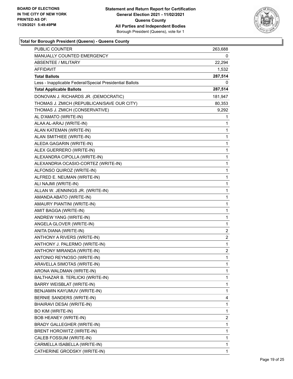

| <b>PUBLIC COUNTER</b>                                    | 263,688                 |
|----------------------------------------------------------|-------------------------|
| MANUALLY COUNTED EMERGENCY                               | 0                       |
| <b>ABSENTEE / MILITARY</b>                               | 22,294                  |
| AFFIDAVIT                                                | 1,532                   |
| <b>Total Ballots</b>                                     | 287,514                 |
| Less - Inapplicable Federal/Special Presidential Ballots | 0                       |
| <b>Total Applicable Ballots</b>                          | 287,514                 |
| DONOVAN J. RICHARDS JR. (DEMOCRATIC)                     | 181,947                 |
| THOMAS J. ZMICH (REPUBLICAN/SAVE OUR CITY)               | 80,353                  |
| THOMAS J. ZMICH (CONSERVATIVE)                           | 9,292                   |
| AL D'AMATO (WRITE-IN)                                    | 1                       |
| ALAA AL-ARAJ (WRITE-IN)                                  | 1                       |
| ALAN KATEMAN (WRITE-IN)                                  | 1                       |
| ALAN SMITHIEE (WRITE-IN)                                 | 1                       |
| ALEDA GAGARIN (WRITE-IN)                                 | 1                       |
| ALEX GUERRERO (WRITE-IN)                                 | 1                       |
| ALEXANDRA CIPOLLA (WRITE-IN)                             | 1                       |
| ALEXANDRIA OCASIO-CORTEZ (WRITE-IN)                      | 1                       |
| ALFONSO QUIROZ (WRITE-IN)                                | 1                       |
| ALFRED E. NEUMAN (WRITE-IN)                              | 1                       |
| ALI NAJMI (WRITE-IN)                                     | 1                       |
| ALLAN W. JENNINGS JR. (WRITE-IN)                         | 1                       |
| AMANDA ABATO (WRITE-IN)                                  | 1                       |
| AMAURY PIANTINI (WRITE-IN)                               | 1                       |
| AMIT BAGGA (WRITE-IN)                                    | 1                       |
| ANDREW YANG (WRITE-IN)                                   | 1                       |
| ANGELA GLOVER (WRITE-IN)                                 | 1                       |
| ANITA DIANA (WRITE-IN)                                   | 2                       |
| ANTHONY A RIVERS (WRITE-IN)                              | $\overline{\mathbf{c}}$ |
| ANTHONY J. PALERMO (WRITE-IN)                            | $\mathbf{1}$            |
| ANTHONY MIRANDA (WRITE-IN)                               | 2                       |
| ANTONIO REYNOSO (WRITE-IN)                               | 1                       |
| ARAVELLA SIMOTAS (WRITE-IN)                              | 1                       |
| ARONA WALDMAN (WRITE-IN)                                 | 1                       |
| BALTHAZAR B. TERLICKI (WRITE-IN)                         | 1                       |
| BARRY WEISBLAT (WRITE-IN)                                | 1                       |
| BENJAMIN KAYUMUV (WRITE-IN)                              | 1                       |
| BERNIE SANDERS (WRITE-IN)                                | 4                       |
| BHAIRAVI DESAI (WRITE-IN)                                | 1                       |
| <b>BO KIM (WRITE-IN)</b>                                 | 1                       |
| <b>BOB HEANEY (WRITE-IN)</b>                             | 2                       |
| BRADY GALLEGHER (WRITE-IN)                               | 1                       |
| BRENT HOROWITZ (WRITE-IN)                                | 1                       |
| CALEB FOSSUM (WRITE-IN)                                  | 1                       |
| CARMELLA ISABELLA (WRITE-IN)                             | 1                       |
| CATHERINE GRODSKY (WRITE-IN)                             | 1                       |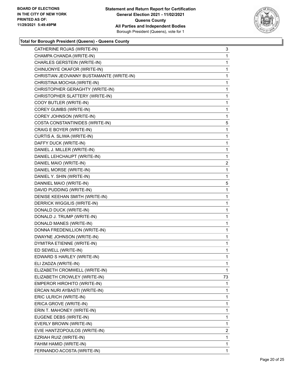

| CATHERINE ROJAS (WRITE-IN)               | 3              |
|------------------------------------------|----------------|
| CHAMPA CHANDA (WRITE-IN)                 | 1              |
| CHARLES GERSTEIN (WRITE-IN)              | $\mathbf{1}$   |
| CHINUONYE OKAFOR (WRITE-IN)              | 1              |
| CHRISTIAN JEOVANNY BUSTAMANTE (WRITE-IN) | 1              |
| CHRISTINA MOCHIA (WRITE-IN)              | $\mathbf{1}$   |
| CHRISTOPHER GERAGHTY (WRITE-IN)          | 1              |
| CHRISTOPHER SLATTERY (WRITE-IN)          | $\mathbf{1}$   |
| COOY BUTLER (WRITE-IN)                   | $\mathbf{1}$   |
| COREY GUMBS (WRITE-IN)                   | 1              |
| COREY JOHNSON (WRITE-IN)                 | 1              |
| COSTA CONSTANTINIDES (WRITE-IN)          | 5              |
| CRAIG E BOYER (WRITE-IN)                 | 1              |
| CURTIS A. SLIWA (WRITE-IN)               | $\mathbf{1}$   |
| DAFFY DUCK (WRITE-IN)                    | $\mathbf{1}$   |
| DANIEL J. MILLER (WRITE-IN)              | 1              |
| DANIEL LEHCHAUPT (WRITE-IN)              | 1              |
| DANIEL MAIO (WRITE-IN)                   | $\overline{2}$ |
| DANIEL MORSE (WRITE-IN)                  | 1              |
| DANIEL Y. SHIN (WRITE-IN)                | $\mathbf{1}$   |
| DANNIEL MAIO (WRITE-IN)                  | 5              |
| DAVID PUDDING (WRITE-IN)                 | 1              |
| DENISE KEEHAN SMITH (WRITE-IN)           | 1              |
| DERRICK WIGGILIS (WRITE-IN)              | $\mathbf{1}$   |
| DONALD DUCK (WRITE-IN)                   | 1              |
| DONALD J. TRUMP (WRITE-IN)               | $\mathbf{1}$   |
| DONALD MANES (WRITE-IN)                  | $\mathbf{1}$   |
| DONNA FREDENILLION (WRITE-IN)            | 1              |
| DWAYNE JOHNSON (WRITE-IN)                | $\mathbf{1}$   |
| DYMITRA ETIENNE (WRITE-IN)               | $\mathbf{1}$   |
| ED SEWELL (WRITE-IN)                     | 1              |
| EDWARD S HARLEY (WRITE-IN)               | $\mathbf{1}$   |
| ELI ZADZA (WRITE-IN)                     | 1              |
| ELIZABETH CROMWELL (WRITE-IN)            | 1              |
| ELIZABETH CROWLEY (WRITE-IN)             | 73             |
| EMPEROR HIROHITO (WRITE-IN)              | 1              |
| ERCAN NURI AYBASTI (WRITE-IN)            | 1              |
| ERIC ULRICH (WRITE-IN)                   | 1              |
| ERICA GROVE (WRITE-IN)                   | 1              |
| ERIN T. MAHONEY (WRITE-IN)               | 1              |
| EUGENE DEBS (WRITE-IN)                   | 1              |
| EVERLY BROWN (WRITE-IN)                  | 1              |
| EVIE HANTZOPOULOS (WRITE-IN)             | 2              |
| EZRIAH RUIZ (WRITE-IN)                   | 1              |
| FAHIM HAMID (WRITE-IN)                   | 1              |
| FERNANDO ACOSTA (WRITE-IN)               | 1              |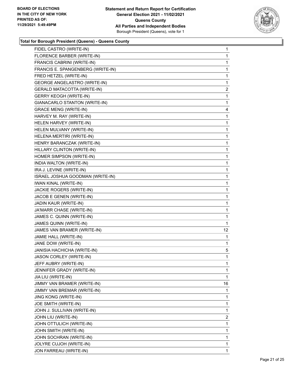

| FIDEL CASTRO (WRITE-IN)            | $\mathbf{1}$   |
|------------------------------------|----------------|
| FLORENCE BARBER (WRITE-IN)         | $\mathbf{1}$   |
| FRANCIS CABRINI (WRITE-IN)         | 1              |
| FRANCIS E. SPANGENBERG (WRITE-IN)  | 1              |
| FRED HETZEL (WRITE-IN)             | 1              |
| GEORGE ANGELASTRO (WRITE-IN)       | 1              |
| <b>GERALD MATACOTTA (WRITE-IN)</b> | $\overline{2}$ |
| <b>GERRY KEOGH (WRITE-IN)</b>      | $\mathbf{1}$   |
| GIANACARLO STANTON (WRITE-IN)      | 1              |
| <b>GRACE MENG (WRITE-IN)</b>       | 4              |
| HARVEY M. RAY (WRITE-IN)           | $\mathbf{1}$   |
| HELEN HARVEY (WRITE-IN)            | 1              |
| HELEN MULVANY (WRITE-IN)           | 1              |
| HELENA MERTIRI (WRITE-IN)          | $\mathbf{1}$   |
| HENRY BARANCZAK (WRITE-IN)         | 1              |
| HILLARY CLINTON (WRITE-IN)         | $\mathbf 1$    |
| HOMER SIMPSON (WRITE-IN)           | 1              |
| INDIA WALTON (WRITE-IN)            | 1              |
| IRA J. LEVINE (WRITE-IN)           | 1              |
| ISRAEL JOSHUA GOODMAN (WRITE-IN)   | $\mathbf{1}$   |
| IWAN KINAL (WRITE-IN)              | 1              |
| JACKIE ROGERS (WRITE-IN)           | $\mathbf 1$    |
| JACOB E GENEN (WRITE-IN)           | 1              |
| JADIN KAUR (WRITE-IN)              | 1              |
| JA'MARR CHASE (WRITE-IN)           | 1              |
| JAMES C. QUINN (WRITE-IN)          | $\mathbf{1}$   |
| JAMES QUINN (WRITE-IN)             | 1              |
| JAMES VAN BRAMER (WRITE-IN)        | 12             |
| JAMIE HALL (WRITE-IN)              | 1              |
| JANE DOW (WRITE-IN)                | $\mathbf{1}$   |
| JANISIA HACHICHA (WRITE-IN)        | 5              |
| JASON CORLEY (WRITE-IN)            | $\mathbf 1$    |
| JEFF AUBRY (WRITE-IN)              | 1              |
| JENNIFER GRADY (WRITE-IN)          | 1              |
| JIA LIU (WRITE-IN)                 | 1              |
| JIMMY VAN BRAMER (WRITE-IN)        | 16             |
| JIMMY VAN BREMAR (WRITE-IN)        | 1              |
| <b>JING KONG (WRITE-IN)</b>        | 1              |
| JOE SMITH (WRITE-IN)               | 1              |
| JOHN J. SULLIVAN (WRITE-IN)        | 1              |
| JOHN LIU (WRITE-IN)                | 2              |
| JOHN OTTULICH (WRITE-IN)           | 1              |
| JOHN SMITH (WRITE-IN)              | 1              |
| JOHN SOCHRAN (WRITE-IN)            | 1              |
| JOLYRE CUJOH (WRITE-IN)            | 1              |
| JON FARREAU (WRITE-IN)             | 1              |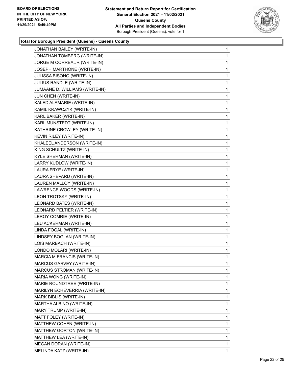

| JONATHAN BAILEY (WRITE-IN)     | $\mathbf{1}$ |
|--------------------------------|--------------|
| JONATHAN TOMBERG (WRITE-IN)    | 1            |
| JORGE M CORREA JR (WRITE-IN)   | 1            |
| JOSEPH MARTHONE (WRITE-IN)     | 1            |
| JULISSA BISONO (WRITE-IN)      | 1            |
| JULIUS RANDLE (WRITE-IN)       | 1            |
| JUMAANE D. WILLIAMS (WRITE-IN) | 1            |
| JUN CHEN (WRITE-IN)            | 1            |
| KALED ALAMARIE (WRITE-IN)      | 1            |
| KAMIL KRAWCZYK (WRITE-IN)      | 1            |
| KARL BAKER (WRITE-IN)          | 1            |
| KARL MUNSTEDT (WRITE-IN)       | 1            |
| KATHRINE CROWLEY (WRITE-IN)    | 1            |
| KEVIN RILEY (WRITE-IN)         | 1            |
| KHALEEL ANDERSON (WRITE-IN)    | 1            |
| KING SCHULTZ (WRITE-IN)        | 1            |
| KYLE SHERMAN (WRITE-IN)        | 1            |
| LARRY KUDLOW (WRITE-IN)        | 1            |
| LAURA FRYE (WRITE-IN)          | 1            |
| LAURA SHEPARD (WRITE-IN)       | 1            |
| LAUREN MALLOY (WRITE-IN)       | 1            |
| LAWRENCE WOODS (WRITE-IN)      | 1            |
| LEON TROTSKY (WRITE-IN)        | 1            |
| LEONARD BATES (WRITE-IN)       | 1            |
| LEONARD PELTIER (WRITE-IN)     | 1            |
| LEROY COMRIE (WRITE-IN)        | 1            |
| LEU ACKERMAN (WRITE-IN)        | 1            |
| LINDA FOGAL (WRITE-IN)         | 1            |
| LINDSEY BOGLAN (WRITE-IN)      | 1            |
| LOIS MARBACH (WRITE-IN)        | 1            |
| LONDO MOLARI (WRITE-IN)        | 1            |
| MARCIA M FRANCIS (WRITE-IN)    | 1            |
| MARCUS GARVEY (WRITE-IN)       | 1            |
| MARCUS STROMAN (WRITE-IN)      | 1            |
| MARIA WONG (WRITE-IN)          | 1            |
| MARIE ROUNDTREE (WRITE-IN)     | 1            |
| MARILYN ECHEVERRIA (WRITE-IN)  | 1            |
| MARK BIBLIS (WRITE-IN)         | 1            |
| MARTHA ALBINO (WRITE-IN)       | 1            |
| MARY TRUMP (WRITE-IN)          | 1            |
| MATT FOLEY (WRITE-IN)          | 1            |
| MATTHEW COHEN (WRITE-IN)       | 1            |
| MATTHEW GORTON (WRITE-IN)      | 1            |
| MATTHEW LEA (WRITE-IN)         | 1            |
| MEGAN DORAN (WRITE-IN)         | 1            |
| MELINDA KATZ (WRITE-IN)        | 1            |
|                                |              |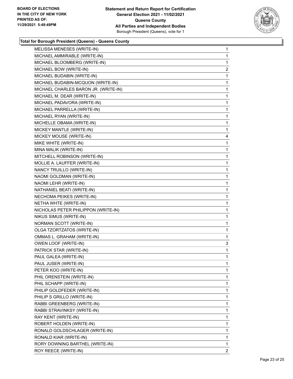

| MELISSA MENESES (WRITE-IN)           | $\mathbf{1}$   |
|--------------------------------------|----------------|
| MICHAEL AMMIRABLE (WRITE-IN)         | $\mathbf{1}$   |
| MICHAEL BLOOMBERG (WRITE-IN)         | 1              |
| MICHAEL BOW (WRITE-IN)               | $\overline{2}$ |
| MICHAEL BUDABIN (WRITE-IN)           | 1              |
| MICHAEL BUDABIN-MCQUON (WRITE-IN)    | 1              |
| MICHAEL CHARLES BARON JR. (WRITE-IN) | $\mathbf{1}$   |
| MICHAEL M. DEAR (WRITE-IN)           | $\mathbf{1}$   |
| MICHAEL PADAVORA (WRITE-IN)          | 1              |
| MICHAEL PARRELLA (WRITE-IN)          | $\mathbf 1$    |
| MICHAEL RYAN (WRITE-IN)              | $\mathbf{1}$   |
| MICHELLE OBAMA (WRITE-IN)            | 1              |
| MICKEY MANTLE (WRITE-IN)             | 1              |
| MICKEY MOUSE (WRITE-IN)              | 4              |
| MIKE WHITE (WRITE-IN)                | 1              |
| MINA MALIK (WRITE-IN)                | $\mathbf{1}$   |
| MITCHELL ROBINSON (WRITE-IN)         | $\mathbf{1}$   |
| MOLLIE A. LAUFFER (WRITE-IN)         | 1              |
| NANCY TRUILLO (WRITE-IN)             | 1              |
| NAOMI GOLDMAN (WRITE-IN)             | $\mathbf{1}$   |
| NAOMI LEHR (WRITE-IN)                | 1              |
| NATHANIEL BEATI (WRITE-IN)           | $\mathbf{1}$   |
| NECHOMA PEIKES (WRITE-IN)            | $\mathbf{1}$   |
| NETHA WHTE (WRITE-IN)                | 1              |
| NICHOLAS PETER PHILIPPON (WRITE-IN)  | 1              |
| NIKUS SIMUS (WRITE-IN)               | $\mathbf{1}$   |
| NORMAN SCOTT (WRITE-IN)              | 1              |
| OLGA TZORTZATOS (WRITE-IN)           | $\mathbf{1}$   |
| OMMAS L. GRAHAM (WRITE-IN)           | 1              |
| OWEN LOOF (WRITE-IN)                 | 3              |
| PATRICK STAR (WRITE-IN)              | $\mathbf{1}$   |
| PAUL GALEA (WRITE-IN)                | $\mathbf{1}$   |
| PAUL JUSER (WRITE-IN)                | 1              |
| PETER KOO (WRITE-IN)                 | 1              |
| PHIL ORENSTEIN (WRITE-IN)            | 1              |
| PHIL SCHAPP (WRITE-IN)               | 1              |
| PHILIP GOLDFEDER (WRITE-IN)          | 1              |
| PHILIP S GRILLO (WRITE-IN)           | 1              |
| RABBI GREENBERG (WRITE-IN)           | 1              |
| RABBI STRAVINKSY (WRITE-IN)          | 1              |
| RAY KENT (WRITE-IN)                  | 1              |
| ROBERT HOLDEN (WRITE-IN)             | 1              |
| RONALD GOLDSCHLAGER (WRITE-IN)       | 1              |
| RONALD KIAR (WRITE-IN)               | 1              |
| RORY DOWNING BARTHEL (WRITE-IN)      | 1              |
| ROY REECE (WRITE-IN)                 | $\overline{2}$ |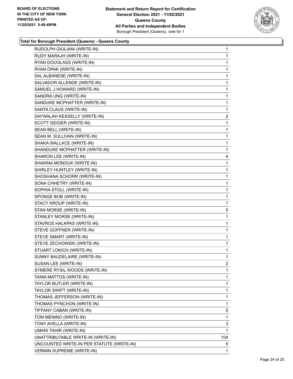

| RUDOLPH GIULIANI (WRITE-IN)               | 1            |
|-------------------------------------------|--------------|
| RUDY MARAJH (WRITE-IN)                    | $\mathbf 1$  |
| RYAN DOUGLASS (WRITE-IN)                  | $\mathbf{1}$ |
| RYAN OPAK (WRITE-IN)                      | $\mathbf{1}$ |
| SAL ALBANESE (WRITE-IN)                   | 1            |
| SALVADOR ALLENDE (WRITE-IN)               | 1            |
| SAMUEL J HOWARD (WRITE-IN)                | 1            |
| SANDRA UNG (WRITE-IN)                     | 1            |
| SANDUKE MCPHATTER (WRITE-IN)              | 1            |
| SANTA CLAUS (WRITE-IN)                    | 1            |
| SAYWALAH KESSELLY (WRITE-IN)              | 2            |
| SCOTT GEIGER (WRITE-IN)                   | 1            |
| SEAN BELL (WRITE-IN)                      | 1            |
| SEAN M. SULLIVAN (WRITE-IN)               | 1            |
| SHAKA WALLACE (WRITE-IN)                  | $\mathbf{1}$ |
| SHANDUKE MCPHATTER (WRITE-IN)             | 1            |
| SHARON LEE (WRITE-IN)                     | 4            |
| SHAWNA MONOUK (WRITE-IN)                  | 1            |
| SHIRLEY HUNTLEY (WRITE-IN)                | 1            |
| SHOSHANA SCHORR (WRITE-IN)                | 1            |
| SONA CHHETRY (WRITE-IN)                   | $\mathbf{1}$ |
| SOPHIA STOLL (WRITE-IN)                   | 1            |
| SPONGE BOB (WRITE-IN)                     | 1            |
| STACY KROUP (WRITE-IN)                    | 1            |
| STAN MORSE (WRITE-IN)                     | 5            |
| STANLEY MORSE (WRITE-IN)                  | 1            |
| STAVROS HALKPAS (WRITE-IN)                | 1            |
| STEVE GOFFNER (WRITE-IN)                  | 1            |
| STEVE SMART (WRITE-IN)                    | 1            |
| STEVE ZECHOWSKI (WRITE-IN)                | 1            |
| STUART LOKICH (WRITE-IN)                  | 1            |
| SUNNY BAUDELAIRE (WRITE-IN)               | 1            |
| SUSAN LEE (WRITE-IN)                      | 2            |
| SYMERE RYSIL WOODS (WRITE-IN)             | 1            |
| TANIA MATTOS (WRITE-IN)                   | 1            |
| TAYLOR BUTLER (WRITE-IN)                  | $\mathbf{1}$ |
| TAYLOR SWIFT (WRITE-IN)                   | 1            |
| THOMAS JEFFERSON (WRITE-IN)               | 1            |
| THOMAS PYNCHON (WRITE-IN)                 | 1            |
| TIFFANY CABAN (WRITE-IN)                  | 5            |
| TOM MENINO (WRITE-IN)                     | 1            |
| TONY AVELLA (WRITE-IN)                    | 3            |
| UMARI TAHIR (WRITE-IN)                    | 1            |
| UNATTRIBUTABLE WRITE-IN (WRITE-IN)        | 104          |
| UNCOUNTED WRITE-IN PER STATUTE (WRITE-IN) | 5            |
| <b>VERMIN SUPREME (WRITE-IN)</b>          | 1            |
|                                           |              |